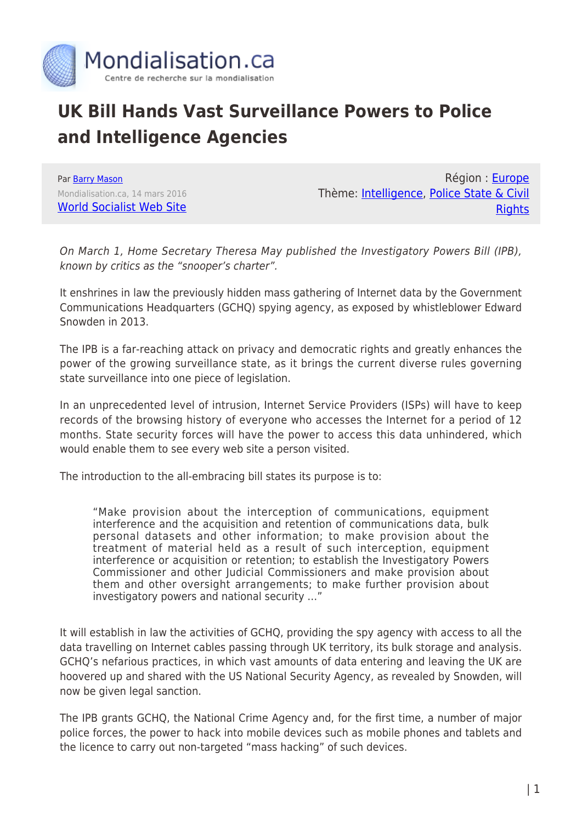

## **UK Bill Hands Vast Surveillance Powers to Police and Intelligence Agencies**

Par [Barry Mason](https://www.mondialisation.ca/author/barry-mason) Mondialisation.ca, 14 mars 2016 [World Socialist Web Site](http://www.wsws.org/en/articles/2016/03/14/snoo-m14.html)

Région : [Europe](https://www.mondialisation.ca/region/europe) Thème: [Intelligence,](https://www.mondialisation.ca/theme/intelligence) [Police State & Civil](https://www.mondialisation.ca/theme/police-state-civil-rights) **[Rights](https://www.mondialisation.ca/theme/police-state-civil-rights)** 

On March 1, Home Secretary Theresa May published the Investigatory Powers Bill (IPB), known by critics as the "snooper's charter".

It enshrines in law the previously hidden mass gathering of Internet data by the Government Communications Headquarters (GCHQ) spying agency, as exposed by whistleblower Edward Snowden in 2013.

The IPB is a far-reaching attack on privacy and democratic rights and greatly enhances the power of the growing surveillance state, as it brings the current diverse rules governing state surveillance into one piece of legislation.

In an unprecedented level of intrusion, Internet Service Providers (ISPs) will have to keep records of the browsing history of everyone who accesses the Internet for a period of 12 months. State security forces will have the power to access this data unhindered, which would enable them to see every web site a person visited.

The introduction to the all-embracing bill states its purpose is to:

"Make provision about the interception of communications, equipment interference and the acquisition and retention of communications data, bulk personal datasets and other information; to make provision about the treatment of material held as a result of such interception, equipment interference or acquisition or retention; to establish the Investigatory Powers Commissioner and other Judicial Commissioners and make provision about them and other oversight arrangements; to make further provision about investigatory powers and national security …"

It will establish in law the activities of GCHQ, providing the spy agency with access to all the data travelling on Internet cables passing through UK territory, its bulk storage and analysis. GCHQ's nefarious practices, in which vast amounts of data entering and leaving the UK are hoovered up and shared with the US National Security Agency, as revealed by Snowden, will now be given legal sanction.

The IPB grants GCHQ, the National Crime Agency and, for the first time, a number of major police forces, the power to hack into mobile devices such as mobile phones and tablets and the licence to carry out non-targeted "mass hacking" of such devices.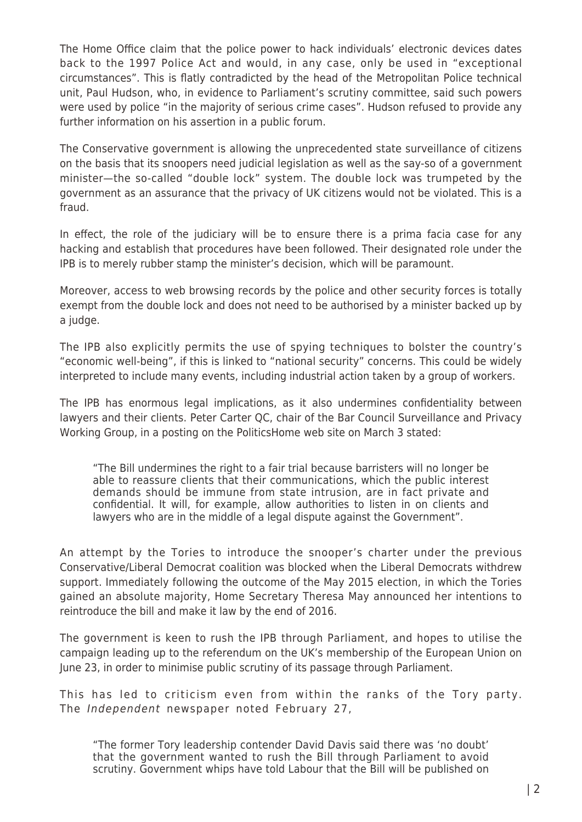The Home Office claim that the police power to hack individuals' electronic devices dates back to the 1997 Police Act and would, in any case, only be used in "exceptional circumstances". This is flatly contradicted by the head of the Metropolitan Police technical unit, Paul Hudson, who, in evidence to Parliament's scrutiny committee, said such powers were used by police "in the majority of serious crime cases". Hudson refused to provide any further information on his assertion in a public forum.

The Conservative government is allowing the unprecedented state surveillance of citizens on the basis that its snoopers need judicial legislation as well as the say-so of a government minister—the so-called "double lock" system. The double lock was trumpeted by the government as an assurance that the privacy of UK citizens would not be violated. This is a fraud.

In effect, the role of the judiciary will be to ensure there is a prima facia case for any hacking and establish that procedures have been followed. Their designated role under the IPB is to merely rubber stamp the minister's decision, which will be paramount.

Moreover, access to web browsing records by the police and other security forces is totally exempt from the double lock and does not need to be authorised by a minister backed up by a judge.

The IPB also explicitly permits the use of spying techniques to bolster the country's "economic well-being", if this is linked to "national security" concerns. This could be widely interpreted to include many events, including industrial action taken by a group of workers.

The IPB has enormous legal implications, as it also undermines confidentiality between lawyers and their clients. Peter Carter QC, chair of the Bar Council Surveillance and Privacy Working Group, in a posting on the PoliticsHome web site on March 3 stated:

"The Bill undermines the right to a fair trial because barristers will no longer be able to reassure clients that their communications, which the public interest demands should be immune from state intrusion, are in fact private and confidential. It will, for example, allow authorities to listen in on clients and lawyers who are in the middle of a legal dispute against the Government".

An attempt by the Tories to introduce the snooper's charter under the previous Conservative/Liberal Democrat coalition was blocked when the Liberal Democrats withdrew support. Immediately following the outcome of the May 2015 election, in which the Tories gained an absolute majority, Home Secretary Theresa May announced her intentions to reintroduce the bill and make it law by the end of 2016.

The government is keen to rush the IPB through Parliament, and hopes to utilise the campaign leading up to the referendum on the UK's membership of the European Union on June 23, in order to minimise public scrutiny of its passage through Parliament.

This has led to criticism even from within the ranks of the Tory party. The Independent newspaper noted February 27,

"The former Tory leadership contender David Davis said there was 'no doubt' that the government wanted to rush the Bill through Parliament to avoid scrutiny. Government whips have told Labour that the Bill will be published on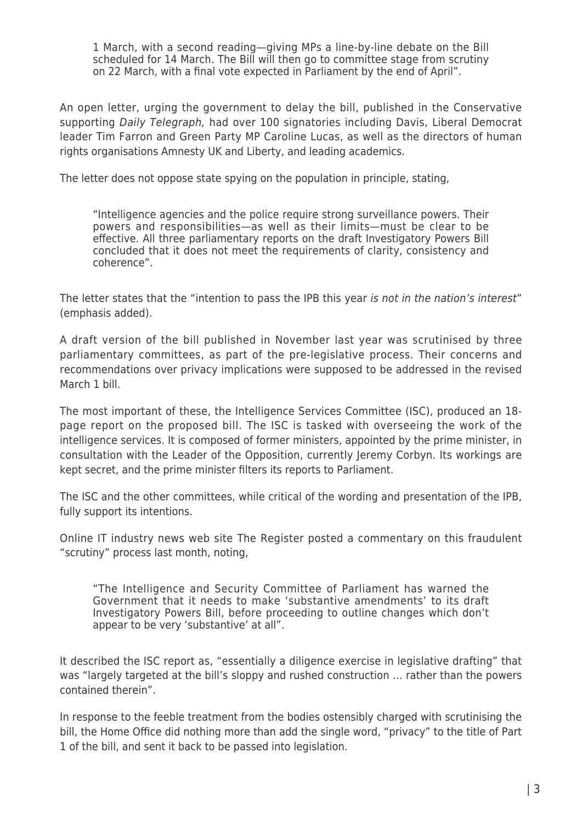1 March, with a second reading—giving MPs a line-by-line debate on the Bill scheduled for 14 March. The Bill will then go to committee stage from scrutiny on 22 March, with a final vote expected in Parliament by the end of April".

An open letter, urging the government to delay the bill, published in the Conservative supporting Daily Telegraph, had over 100 signatories including Davis, Liberal Democrat leader Tim Farron and Green Party MP Caroline Lucas, as well as the directors of human rights organisations Amnesty UK and Liberty, and leading academics.

The letter does not oppose state spying on the population in principle, stating,

"Intelligence agencies and the police require strong surveillance powers. Their powers and responsibilities—as well as their limits—must be clear to be effective. All three parliamentary reports on the draft Investigatory Powers Bill concluded that it does not meet the requirements of clarity, consistency and coherence".

The letter states that the "intention to pass the IPB this year is not in the nation's interest" (emphasis added).

A draft version of the bill published in November last year was scrutinised by three parliamentary committees, as part of the pre-legislative process. Their concerns and recommendations over privacy implications were supposed to be addressed in the revised March 1 bill.

The most important of these, the Intelligence Services Committee (ISC), produced an 18 page report on the proposed bill. The ISC is tasked with overseeing the work of the intelligence services. It is composed of former ministers, appointed by the prime minister, in consultation with the Leader of the Opposition, currently Jeremy Corbyn. Its workings are kept secret, and the prime minister filters its reports to Parliament.

The ISC and the other committees, while critical of the wording and presentation of the IPB, fully support its intentions.

Online IT industry news web site The Register posted a commentary on this fraudulent "scrutiny" process last month, noting,

"The Intelligence and Security Committee of Parliament has warned the Government that it needs to make 'substantive amendments' to its draft Investigatory Powers Bill, before proceeding to outline changes which don't appear to be very 'substantive' at all".

It described the ISC report as, "essentially a diligence exercise in legislative drafting" that was "largely targeted at the bill's sloppy and rushed construction … rather than the powers contained therein".

In response to the feeble treatment from the bodies ostensibly charged with scrutinising the bill, the Home Office did nothing more than add the single word, "privacy" to the title of Part 1 of the bill, and sent it back to be passed into legislation.